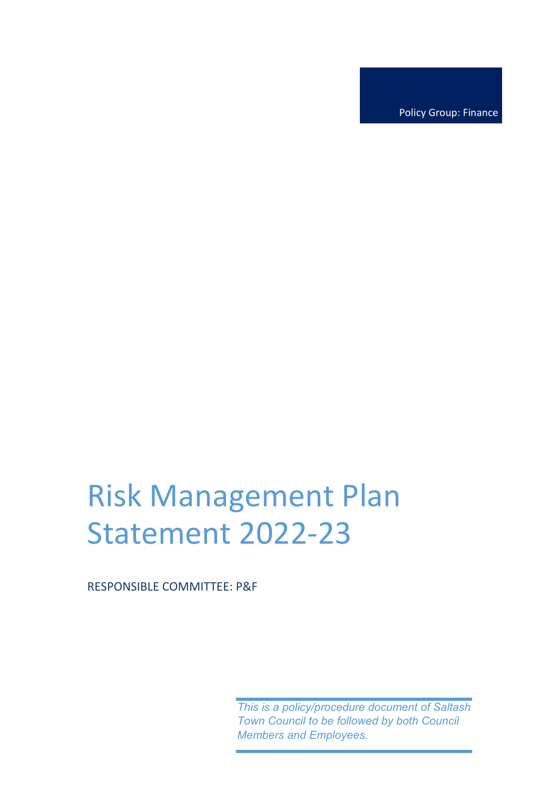Policy Group: Finance

## Risk Management Plan Statement 2022-23

RESPONSIBLE COMMITTEE: P&F

*This is a policy/procedure document of Saltash Town Council to be followed by both Council Members and Employees.*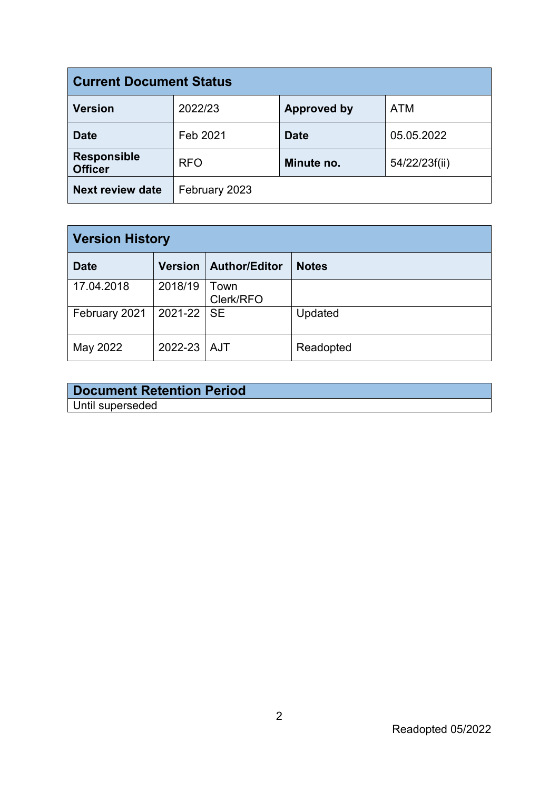| <b>Current Document Status</b>       |               |                    |               |  |  |  |  |  |  |
|--------------------------------------|---------------|--------------------|---------------|--|--|--|--|--|--|
| <b>Version</b>                       | 2022/23       | <b>Approved by</b> | <b>ATM</b>    |  |  |  |  |  |  |
| <b>Date</b>                          | Feb 2021      | <b>Date</b>        | 05.05.2022    |  |  |  |  |  |  |
| <b>Responsible</b><br><b>Officer</b> | <b>RFO</b>    | Minute no.         | 54/22/23f(ii) |  |  |  |  |  |  |
| <b>Next review date</b>              | February 2023 |                    |               |  |  |  |  |  |  |

| <b>Version History</b> |                |                   |              |  |  |  |  |  |  |
|------------------------|----------------|-------------------|--------------|--|--|--|--|--|--|
| <b>Date</b>            | <b>Version</b> | Author/Editor     | <b>Notes</b> |  |  |  |  |  |  |
| 17.04.2018             | 2018/19        | Town<br>Clerk/RFO |              |  |  |  |  |  |  |
| February 2021          | 2021-22 SE     |                   | Updated      |  |  |  |  |  |  |
| May 2022               | 2022-23 AJT    |                   | Readopted    |  |  |  |  |  |  |

| <b>Document Retention Period</b> |
|----------------------------------|
| Until superseded                 |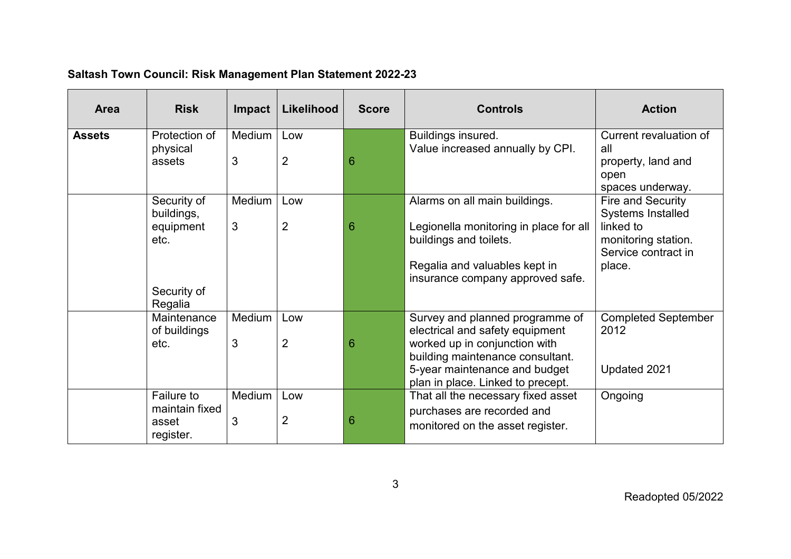| <b>Area</b>   | <b>Risk</b>                                                              | <b>Impact</b> | Likelihood            | <b>Score</b> | <b>Controls</b>                                                                                                                                                                                               | <b>Action</b>                                                                                                                          |
|---------------|--------------------------------------------------------------------------|---------------|-----------------------|--------------|---------------------------------------------------------------------------------------------------------------------------------------------------------------------------------------------------------------|----------------------------------------------------------------------------------------------------------------------------------------|
| <b>Assets</b> | Protection of<br>physical<br>assets                                      | Medium<br>3   | Low<br>$\overline{2}$ | 6            | Buildings insured.<br>Value increased annually by CPI.                                                                                                                                                        | Current revaluation of<br>all<br>property, land and<br>open                                                                            |
|               | Security of<br>buildings,<br>equipment<br>etc.<br>Security of<br>Regalia | Medium<br>3   | Low<br>$\overline{2}$ | 6            | Alarms on all main buildings.<br>Legionella monitoring in place for all<br>buildings and toilets.<br>Regalia and valuables kept in<br>insurance company approved safe.                                        | spaces underway.<br>Fire and Security<br><b>Systems Installed</b><br>linked to<br>monitoring station.<br>Service contract in<br>place. |
|               | Maintenance<br>of buildings<br>etc.                                      | Medium<br>3   | Low<br>$\overline{2}$ | 6            | Survey and planned programme of<br>electrical and safety equipment<br>worked up in conjunction with<br>building maintenance consultant.<br>5-year maintenance and budget<br>plan in place. Linked to precept. | <b>Completed September</b><br>2012<br>Updated 2021                                                                                     |
|               | Failure to<br>maintain fixed<br>asset<br>register.                       | Medium<br>3   | Low<br>$\overline{2}$ | 6            | That all the necessary fixed asset<br>purchases are recorded and<br>monitored on the asset register.                                                                                                          | Ongoing                                                                                                                                |

## **Saltash Town Council: Risk Management Plan Statement 2022-23**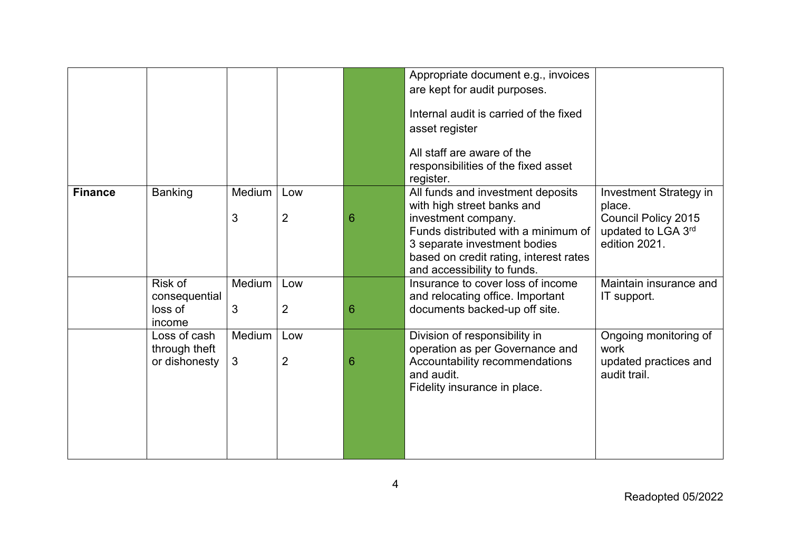|                |                                                |             |                       |   | Appropriate document e.g., invoices<br>are kept for audit purposes.                                                                                                                                                                    |                                                                                                       |
|----------------|------------------------------------------------|-------------|-----------------------|---|----------------------------------------------------------------------------------------------------------------------------------------------------------------------------------------------------------------------------------------|-------------------------------------------------------------------------------------------------------|
|                |                                                |             |                       |   | Internal audit is carried of the fixed<br>asset register                                                                                                                                                                               |                                                                                                       |
|                |                                                |             |                       |   | All staff are aware of the<br>responsibilities of the fixed asset<br>register.                                                                                                                                                         |                                                                                                       |
| <b>Finance</b> | <b>Banking</b>                                 | Medium<br>3 | Low<br>$\overline{2}$ | 6 | All funds and investment deposits<br>with high street banks and<br>investment company.<br>Funds distributed with a minimum of<br>3 separate investment bodies<br>based on credit rating, interest rates<br>and accessibility to funds. | Investment Strategy in<br>place.<br><b>Council Policy 2015</b><br>updated to LGA 3rd<br>edition 2021. |
|                | Risk of<br>consequential<br>loss of<br>income  | Medium<br>3 | Low<br>$\overline{2}$ | 6 | Insurance to cover loss of income<br>and relocating office. Important<br>documents backed-up off site.                                                                                                                                 | Maintain insurance and<br>IT support.                                                                 |
|                | Loss of cash<br>through theft<br>or dishonesty | Medium<br>3 | Low<br>$\overline{2}$ | 6 | Division of responsibility in<br>operation as per Governance and<br>Accountability recommendations<br>and audit.<br>Fidelity insurance in place.                                                                                       | Ongoing monitoring of<br>work<br>updated practices and<br>audit trail.                                |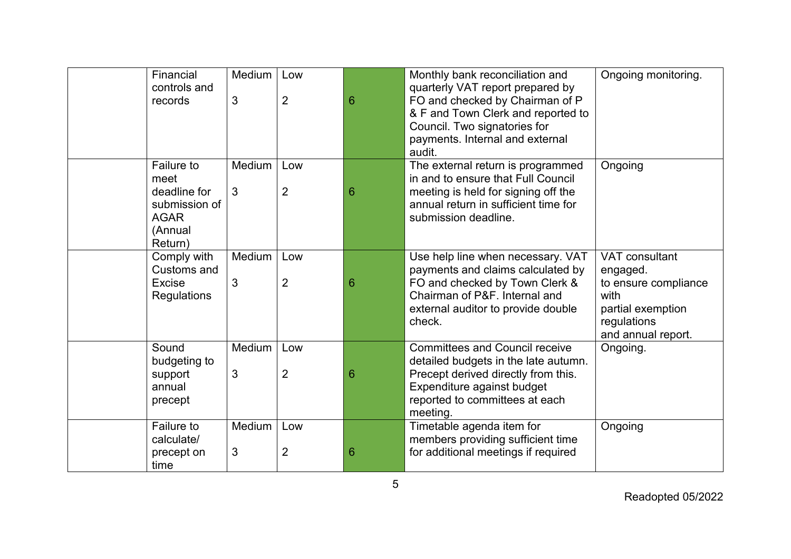| Financial<br>records                      | Medium<br>controls and<br>3                                | Low<br>$\overline{2}$ | 6 | Monthly bank reconciliation and<br>quarterly VAT report prepared by<br>FO and checked by Chairman of P<br>& F and Town Clerk and reported to<br>Council. Two signatories for<br>payments. Internal and external<br>audit. | Ongoing monitoring.                                                                                                  |
|-------------------------------------------|------------------------------------------------------------|-----------------------|---|---------------------------------------------------------------------------------------------------------------------------------------------------------------------------------------------------------------------------|----------------------------------------------------------------------------------------------------------------------|
| meet<br><b>AGAR</b><br>(Annual<br>Return) | Failure to<br>Medium<br>3<br>deadline for<br>submission of | Low<br>$\overline{2}$ | 6 | The external return is programmed<br>in and to ensure that Full Council<br>meeting is held for signing off the<br>annual return in sufficient time for<br>submission deadline.                                            | Ongoing                                                                                                              |
| Excise                                    | Comply with<br>Medium<br>Customs and<br>3<br>Regulations   | Low<br>$\overline{2}$ | 6 | Use help line when necessary. VAT<br>payments and claims calculated by<br>FO and checked by Town Clerk &<br>Chairman of P&F. Internal and<br>external auditor to provide double<br>check.                                 | VAT consultant<br>engaged.<br>to ensure compliance<br>with<br>partial exemption<br>regulations<br>and annual report. |
| Sound<br>support<br>annual<br>precept     | Medium<br>budgeting to<br>3                                | Low<br>$\overline{2}$ | 6 | <b>Committees and Council receive</b><br>detailed budgets in the late autumn.<br>Precept derived directly from this.<br>Expenditure against budget<br>reported to committees at each<br>meeting.                          | Ongoing.                                                                                                             |
| Failure to<br>time                        | Medium<br>calculate/<br>3<br>precept on                    | Low<br>$\overline{2}$ | 6 | Timetable agenda item for<br>members providing sufficient time<br>for additional meetings if required                                                                                                                     | Ongoing                                                                                                              |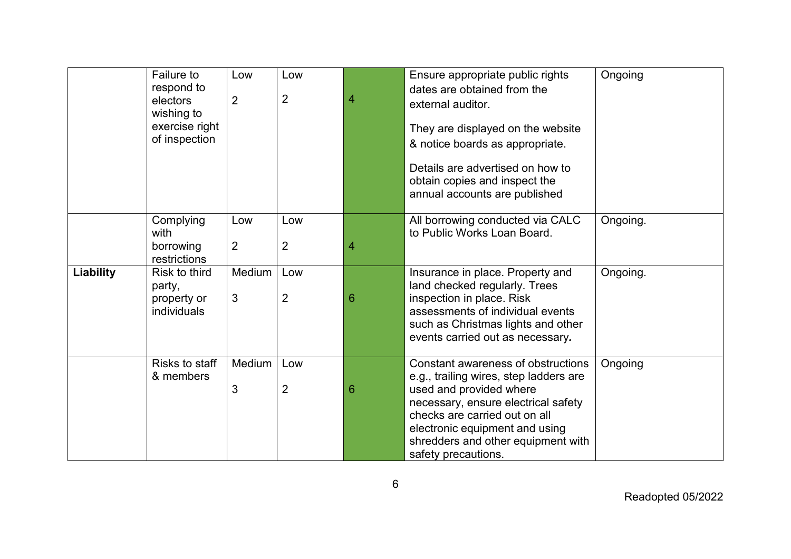|                  | Failure to<br>respond to<br>electors<br>wishing to<br>exercise right<br>of inspection | Low<br>$\overline{2}$ | Low<br>$\overline{2}$ | 4 | Ensure appropriate public rights<br>dates are obtained from the<br>external auditor.<br>They are displayed on the website<br>& notice boards as appropriate.<br>Details are advertised on how to<br>obtain copies and inspect the<br>annual accounts are published             | Ongoing  |
|------------------|---------------------------------------------------------------------------------------|-----------------------|-----------------------|---|--------------------------------------------------------------------------------------------------------------------------------------------------------------------------------------------------------------------------------------------------------------------------------|----------|
|                  | Complying<br>with<br>borrowing<br>restrictions                                        | Low<br>$\overline{2}$ | Low<br>$\overline{2}$ | 4 | All borrowing conducted via CALC<br>to Public Works Loan Board.                                                                                                                                                                                                                | Ongoing. |
| <b>Liability</b> | Risk to third<br>party,<br>property or<br>individuals                                 | Medium<br>3           | Low<br>$\overline{2}$ | 6 | Insurance in place. Property and<br>land checked regularly. Trees<br>inspection in place. Risk<br>assessments of individual events<br>such as Christmas lights and other<br>events carried out as necessary.                                                                   | Ongoing. |
|                  | Risks to staff<br>& members                                                           | Medium<br>3           | Low<br>$\overline{2}$ | 6 | Constant awareness of obstructions<br>e.g., trailing wires, step ladders are<br>used and provided where<br>necessary, ensure electrical safety<br>checks are carried out on all<br>electronic equipment and using<br>shredders and other equipment with<br>safety precautions. | Ongoing  |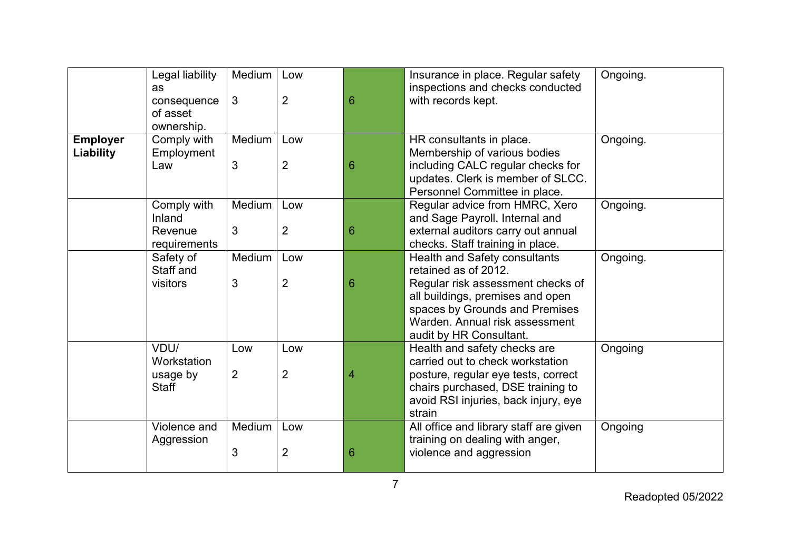|                                     | Legal liability<br><b>as</b>                    | Medium      | Low                   |   | Insurance in place. Regular safety<br>inspections and checks conducted                                                                                                                         | Ongoing. |
|-------------------------------------|-------------------------------------------------|-------------|-----------------------|---|------------------------------------------------------------------------------------------------------------------------------------------------------------------------------------------------|----------|
|                                     | consequence<br>of asset<br>ownership.           | 3           | $\overline{2}$        | 6 | with records kept.                                                                                                                                                                             |          |
| <b>Employer</b><br><b>Liability</b> | Comply with<br>Employment<br>Law                | Medium<br>3 | Low<br>$\overline{2}$ | 6 | HR consultants in place.<br>Membership of various bodies<br>including CALC regular checks for                                                                                                  | Ongoing. |
|                                     |                                                 |             |                       |   | updates. Clerk is member of SLCC.<br>Personnel Committee in place.                                                                                                                             |          |
|                                     | Comply with<br>Inland<br>Revenue                | Medium      | Low                   |   | Regular advice from HMRC, Xero<br>and Sage Payroll. Internal and                                                                                                                               | Ongoing. |
|                                     | requirements                                    | 3           | $\overline{2}$        | 6 | external auditors carry out annual<br>checks. Staff training in place.                                                                                                                         |          |
|                                     | Safety of<br>Staff and                          | Medium      | Low                   |   | <b>Health and Safety consultants</b><br>retained as of 2012.                                                                                                                                   | Ongoing. |
|                                     | visitors                                        | 3           | $\overline{2}$        | 6 | Regular risk assessment checks of<br>all buildings, premises and open<br>spaces by Grounds and Premises<br>Warden, Annual risk assessment<br>audit by HR Consultant.                           |          |
|                                     | VDU/<br>Workstation<br>usage by<br><b>Staff</b> | Low<br>2    | Low<br>$\overline{2}$ | 4 | Health and safety checks are<br>carried out to check workstation<br>posture, regular eye tests, correct<br>chairs purchased, DSE training to<br>avoid RSI injuries, back injury, eye<br>strain | Ongoing  |
|                                     | Violence and<br>Aggression                      | Medium<br>3 | Low<br>$\overline{2}$ | 6 | All office and library staff are given<br>training on dealing with anger,<br>violence and aggression                                                                                           | Ongoing  |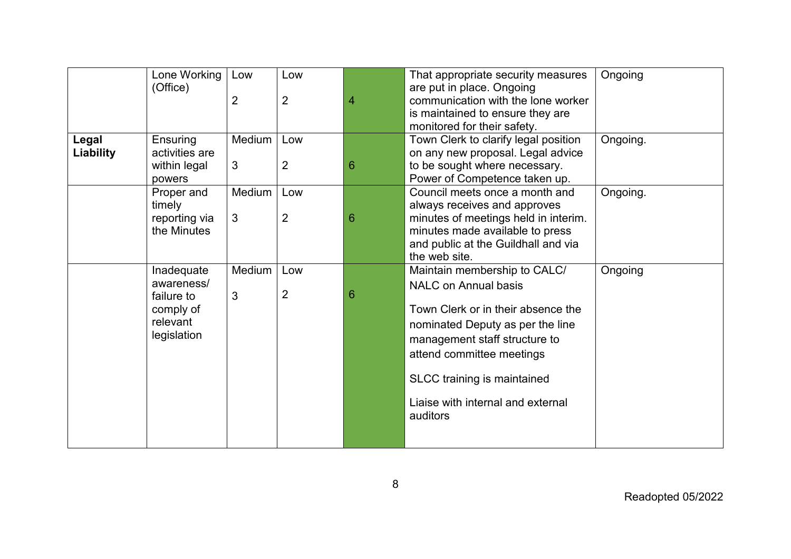|           | Lone Working   | Low            | Low            |   | That appropriate security measures            | Ongoing  |
|-----------|----------------|----------------|----------------|---|-----------------------------------------------|----------|
|           | (Office)       |                |                |   | are put in place. Ongoing                     |          |
|           |                | $\overline{2}$ | $\overline{2}$ | 4 | communication with the lone worker            |          |
|           |                |                |                |   | is maintained to ensure they are              |          |
|           |                |                |                |   | monitored for their safety.                   |          |
| Legal     | Ensuring       | Medium         | Low            |   | Town Clerk to clarify legal position          | Ongoing. |
| Liability | activities are |                |                |   | on any new proposal. Legal advice             |          |
|           | within legal   | 3              | $\overline{2}$ | 6 | to be sought where necessary.                 |          |
|           | powers         |                |                |   | Power of Competence taken up.                 |          |
|           | Proper and     | Medium         | Low            |   | Council meets once a month and                | Ongoing. |
|           | timely         |                |                |   | always receives and approves                  |          |
|           | reporting via  | 3              | $\overline{2}$ | 6 | minutes of meetings held in interim.          |          |
|           | the Minutes    |                |                |   | minutes made available to press               |          |
|           |                |                |                |   | and public at the Guildhall and via           |          |
|           |                |                |                |   | the web site.                                 |          |
|           | Inadequate     | Medium         | Low            |   | Maintain membership to CALC/                  | Ongoing  |
|           | awareness/     |                |                |   | <b>NALC on Annual basis</b>                   |          |
|           | failure to     | 3              | $\overline{2}$ | 6 |                                               |          |
|           | comply of      |                |                |   | Town Clerk or in their absence the            |          |
|           | relevant       |                |                |   | nominated Deputy as per the line              |          |
|           | legislation    |                |                |   | management staff structure to                 |          |
|           |                |                |                |   | attend committee meetings                     |          |
|           |                |                |                |   |                                               |          |
|           |                |                |                |   | SLCC training is maintained                   |          |
|           |                |                |                |   | Liaise with internal and external<br>auditors |          |
|           |                |                |                |   |                                               |          |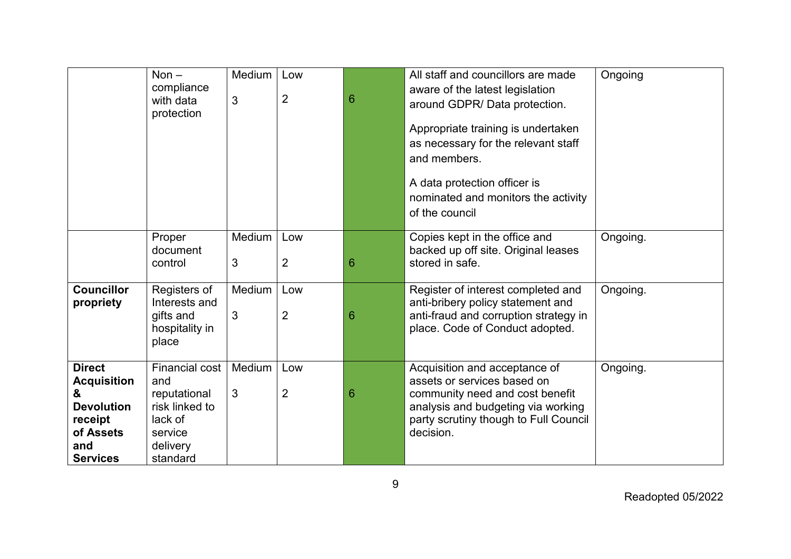|                                                                                                                 | Non $-$<br>compliance<br>with data<br>protection                                                      | Medium<br>3 | Low<br>$\overline{2}$ | 6 | All staff and councillors are made<br>aware of the latest legislation<br>around GDPR/Data protection.<br>Appropriate training is undertaken<br>as necessary for the relevant staff<br>and members.<br>A data protection officer is<br>nominated and monitors the activity<br>of the council | Ongoing  |
|-----------------------------------------------------------------------------------------------------------------|-------------------------------------------------------------------------------------------------------|-------------|-----------------------|---|---------------------------------------------------------------------------------------------------------------------------------------------------------------------------------------------------------------------------------------------------------------------------------------------|----------|
|                                                                                                                 | Proper<br>document<br>control                                                                         | Medium<br>3 | Low<br>$\overline{2}$ | 6 | Copies kept in the office and<br>backed up off site. Original leases<br>stored in safe.                                                                                                                                                                                                     | Ongoing. |
| <b>Councillor</b><br>propriety                                                                                  | Registers of<br>Interests and<br>gifts and<br>hospitality in<br>place                                 | Medium<br>3 | Low<br>$\overline{2}$ | 6 | Register of interest completed and<br>anti-bribery policy statement and<br>anti-fraud and corruption strategy in<br>place. Code of Conduct adopted.                                                                                                                                         | Ongoing. |
| <b>Direct</b><br><b>Acquisition</b><br>&<br><b>Devolution</b><br>receipt<br>of Assets<br>and<br><b>Services</b> | Financial cost<br>and<br>reputational<br>risk linked to<br>lack of<br>service<br>delivery<br>standard | Medium<br>3 | Low<br>$\overline{2}$ | 6 | Acquisition and acceptance of<br>assets or services based on<br>community need and cost benefit<br>analysis and budgeting via working<br>party scrutiny though to Full Council<br>decision.                                                                                                 | Ongoing. |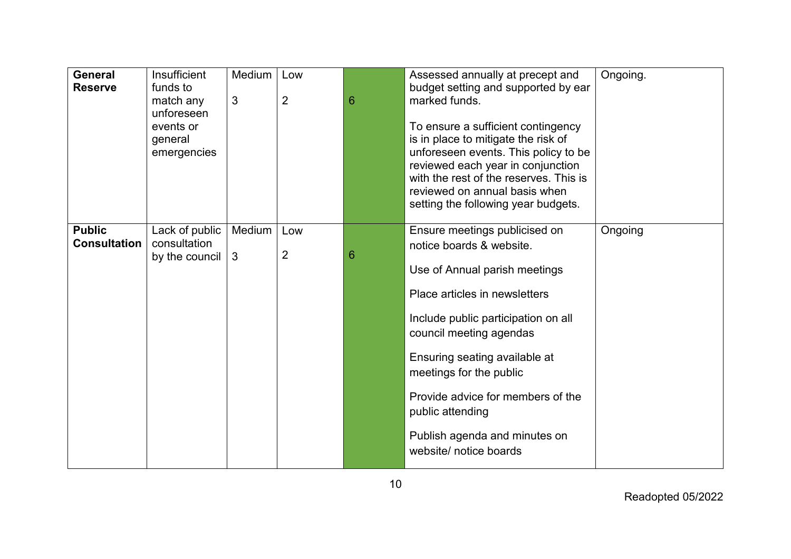| <b>General</b><br><b>Reserve</b>     | Insufficient<br>funds to<br>match any<br>unforeseen<br>events or<br>general<br>emergencies | Medium<br>3 | Low<br>$\overline{2}$ | 6 | Assessed annually at precept and<br>budget setting and supported by ear<br>marked funds.<br>To ensure a sufficient contingency<br>is in place to mitigate the risk of<br>unforeseen events. This policy to be<br>reviewed each year in conjunction<br>with the rest of the reserves. This is<br>reviewed on annual basis when<br>setting the following year budgets.          | Ongoing. |
|--------------------------------------|--------------------------------------------------------------------------------------------|-------------|-----------------------|---|-------------------------------------------------------------------------------------------------------------------------------------------------------------------------------------------------------------------------------------------------------------------------------------------------------------------------------------------------------------------------------|----------|
| <b>Public</b><br><b>Consultation</b> | Lack of public<br>consultation<br>by the council                                           | Medium<br>3 | Low<br>$\overline{2}$ | 6 | Ensure meetings publicised on<br>notice boards & website.<br>Use of Annual parish meetings<br>Place articles in newsletters<br>Include public participation on all<br>council meeting agendas<br>Ensuring seating available at<br>meetings for the public<br>Provide advice for members of the<br>public attending<br>Publish agenda and minutes on<br>website/ notice boards | Ongoing  |